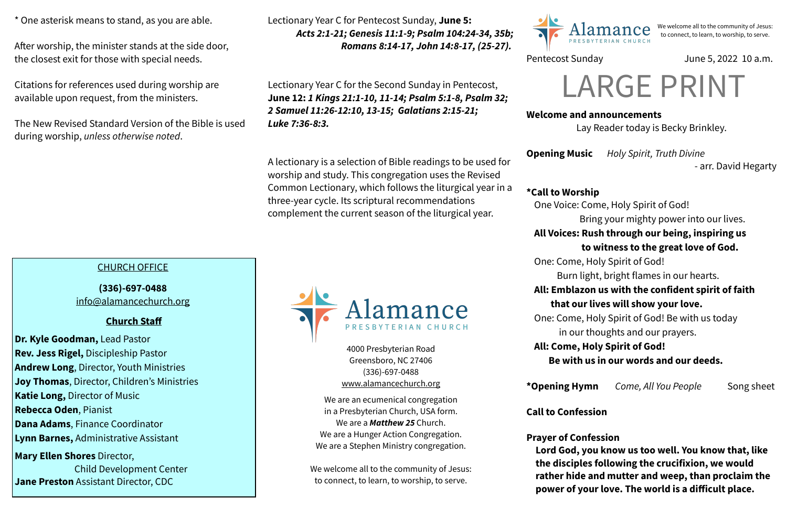### **Welcome and announcements**

Lay Reader today is Becky Brinkley.

**Opening Music** *Holy Spirit, Truth Divine* 

- arr. David Hegarty

**\*Call to Worship** 

One Voice: Come, Holy Spirit of God!

Bring your mighty power into our lives.

# **All Voices: Rush through our being, inspiring us**

### **to witness to the great love of God.**

One: Come, Holy Spirit of God!

Burn light, bright flames in our hearts.

# **All: Emblazon us with the confident spirit of faith that our lives will show your love.**

One: Come, Holy Spirit of God! Be with us today

in our thoughts and our prayers.

# **All: Come, Holy Spirit of God!**

 **Be with us in our words and our deeds.**

**\*Opening Hymn** *Come, All You People* Song sheet

**Call to Confession**

**Prayer of Confession Lord God, you know us too well. You know that, like the disciples following the crucifixion, we would rather hide and mutter and weep, than proclaim the power of your love. The world is a difficult place.** 

4000 Presbyterian Road Greensboro, NC 27406 (336)-697-0488 [www.alamancechurch.org](http://www.alamancechurch.org)

We are an ecumenical congregation in a Presbyterian Church, USA form. We are a *Matthew 25* Church. We are a Hunger Action Congregation. We are a Stephen Ministry congregation.

We welcome all to the community of Jesus: to connect, to learn, to worship, to serve.



\* One asterisk means to stand, as you are able.

After worship, the minister stands at the side door, the closest exit for those with special needs.

Citations for references used during worship are available upon request, from the ministers.

The New Revised Standard Version of the Bible is used during worship, *unless otherwise noted*.

We welcome all to the community of Jesus: to connect, to learn, to worship, to serve.

# Pentecost Sunday June 5, 2022 10 a.m.

# CHURCH OFFICE

**(336)-697-0488**  [info@alamancechurch.org](mailto:info@alamancechurch.org)

# **Church Staff**

**Dr. Kyle Goodman,** Lead Pastor **Rev. Jess Rigel,** Discipleship Pastor **Andrew Long**, Director, Youth Ministries **Joy Thomas**, Director, Children's Ministries **Katie Long,** Director of Music **Rebecca Oden**, Pianist **Dana Adams**, Finance Coordinator **Lynn Barnes,** Administrative Assistant **Mary Ellen Shores** Director,

 Child Development Center **Jane Preston** Assistant Director, CDC



Lectionary Year C for Pentecost Sunday, **June 5:** *Acts 2:1-21; Genesis 11:1-9; Psalm 104:24-34, 35b; Romans 8:14-17, John 14:8-17, (25-27).*

Lectionary Year C for the Second Sunday in Pentecost,

**June 12:** *1 Kings 21:1-10, 11-14; Psalm 5:1-8, Psalm 32;* 

*2 Samuel 11:26-12:10, 13-15; Galatians 2:15-21;* 

*Luke 7:36-8:3.*

A lectionary is a selection of Bible readings to be used for

worship and study. This congregation uses the Revised

Common Lectionary, which follows the liturgical year in a

three-year cycle. Its scriptural recommendations

complement the current season of the liturgical year.

# LARGE PRINT